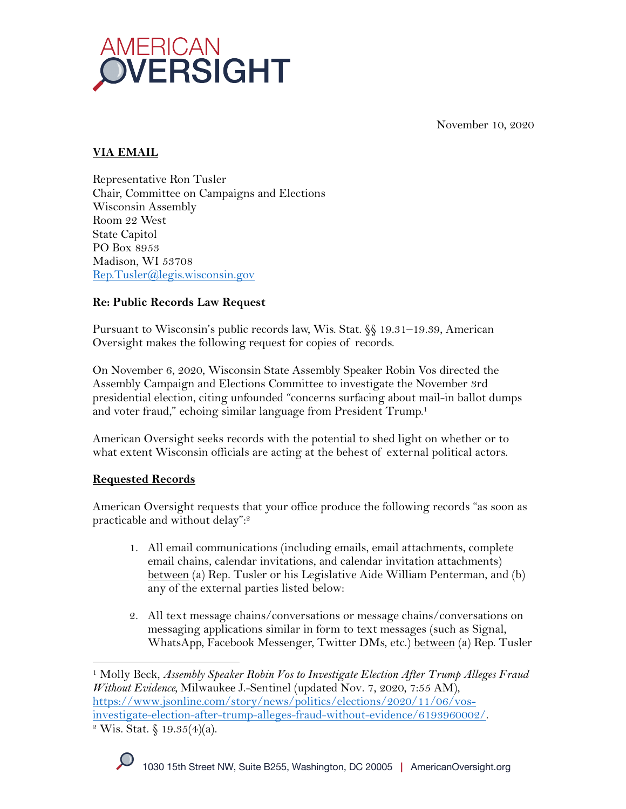

November 10, 2020

## **VIA EMAIL**

Representative Ron Tusler Chair, Committee on Campaigns and Elections Wisconsin Assembly Room 22 West State Capitol PO Box 8953 Madison, WI 53708 Rep.Tusler@legis.wisconsin.gov

#### **Re: Public Records Law Request**

Pursuant to Wisconsin's public records law, Wis. Stat. §§ 19.31–19.39, American Oversight makes the following request for copies of records.

On November 6, 2020, Wisconsin State Assembly Speaker Robin Vos directed the Assembly Campaign and Elections Committee to investigate the November 3rd presidential election, citing unfounded "concerns surfacing about mail-in ballot dumps and voter fraud," echoing similar language from President Trump.<sup>1</sup>

American Oversight seeks records with the potential to shed light on whether or to what extent Wisconsin officials are acting at the behest of external political actors.

# **Requested Records**

American Oversight requests that your office produce the following records "as soon as practicable and without delay": 2

- 1. All email communications (including emails, email attachments, complete email chains, calendar invitations, and calendar invitation attachments) between (a) Rep. Tusler or his Legislative Aide William Penterman, and (b) any of the external parties listed below:
- 2. All text message chains/conversations or message chains/conversations on messaging applications similar in form to text messages (such as Signal, WhatsApp, Facebook Messenger, Twitter DMs, etc.) between (a) Rep. Tusler

<sup>1</sup> Molly Beck, *Assembly Speaker Robin Vos to Investigate Election After Trump Alleges Fraud Without Evidence,* Milwaukee J.-Sentinel (updated Nov. 7, 2020, 7:55 AM), https://www.jsonline.com/story/news/politics/elections/2020/11/06/vosinvestigate-election-after-trump-alleges-fraud-without-evidence/6193960002/. 2 Wis. Stat. § 19.35(4)(a).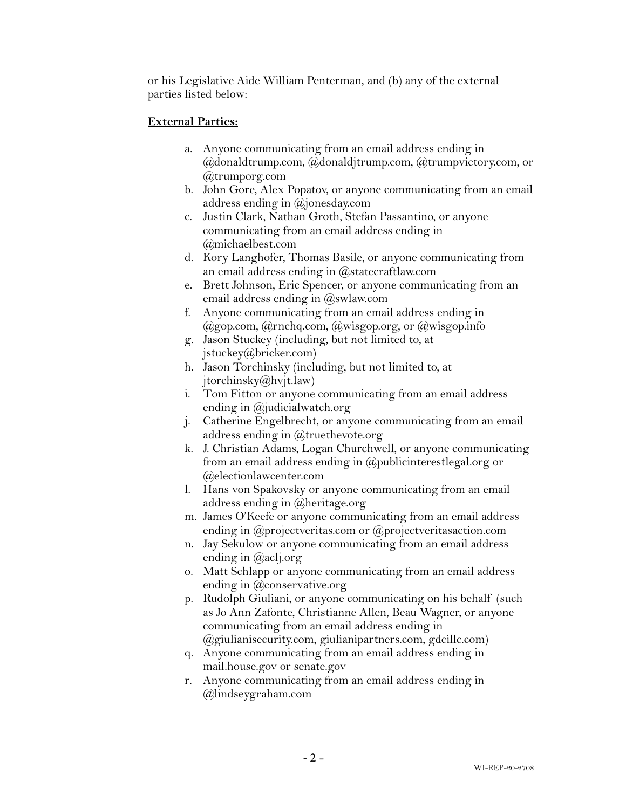or his Legislative Aide William Penterman, and (b) any of the external parties listed below:

# **External Parties:**

- a. Anyone communicating from an email address ending in @donaldtrump.com, @donaldjtrump.com, @trumpvictory.com, or @trumporg.com
- b. John Gore, Alex Popatov, or anyone communicating from an email address ending in @jonesday.com
- c. Justin Clark, Nathan Groth, Stefan Passantino, or anyone communicating from an email address ending in @michaelbest.com
- d. Kory Langhofer, Thomas Basile, or anyone communicating from an email address ending in @statecraftlaw.com
- e. Brett Johnson, Eric Spencer, or anyone communicating from an email address ending in  $@s$  wlaw.com
- f. Anyone communicating from an email address ending in @gop.com, @rnchq.com, @wisgop.org, or @wisgop.info
- g. Jason Stuckey (including, but not limited to, at jstuckey@bricker.com)
- h. Jason Torchinsky (including, but not limited to, at jtorchinsky@hvjt.law)
- i. Tom Fitton or anyone communicating from an email address ending in @judicialwatch.org
- j. Catherine Engelbrecht, or anyone communicating from an email address ending in @truethevote.org
- k. J. Christian Adams, Logan Churchwell, or anyone communicating from an email address ending in @publicinterestlegal.org or @electionlawcenter.com
- l. Hans von Spakovsky or anyone communicating from an email address ending in @heritage.org
- m. James O'Keefe or anyone communicating from an email address ending in @projectveritas.com or @projectveritasaction.com
- n. Jay Sekulow or anyone communicating from an email address ending in @aclj.org
- o. Matt Schlapp or anyone communicating from an email address ending in @conservative.org
- p. Rudolph Giuliani, or anyone communicating on his behalf (such as Jo Ann Zafonte, Christianne Allen, Beau Wagner, or anyone communicating from an email address ending in @giulianisecurity.com, giulianipartners.com, gdcillc.com)
- q. Anyone communicating from an email address ending in mail.house.gov or senate.gov
- r. Anyone communicating from an email address ending in @lindseygraham.com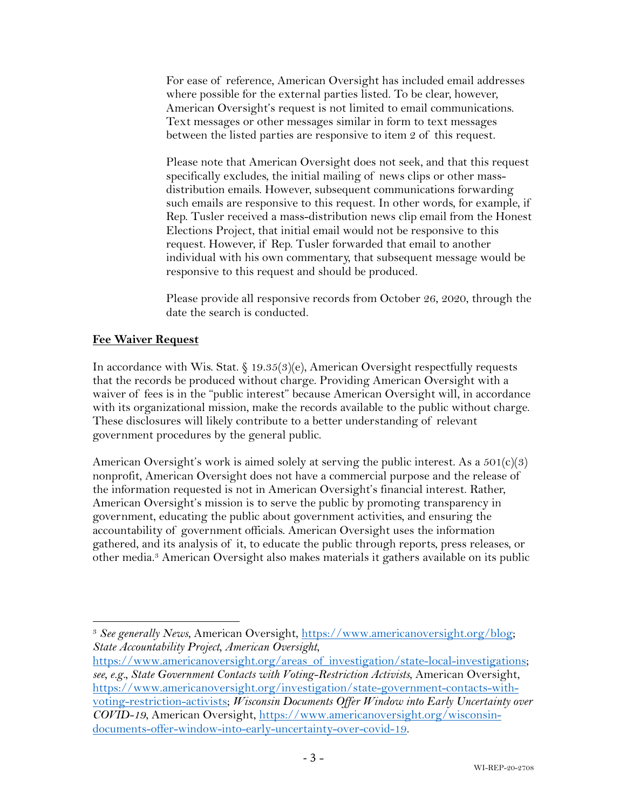For ease of reference, American Oversight has included email addresses where possible for the external parties listed. To be clear, however, American Oversight's request is not limited to email communications. Text messages or other messages similar in form to text messages between the listed parties are responsive to item 2 of this request.

Please note that American Oversight does not seek, and that this request specifically excludes, the initial mailing of news clips or other massdistribution emails. However, subsequent communications forwarding such emails are responsive to this request. In other words, for example, if Rep. Tusler received a mass-distribution news clip email from the Honest Elections Project, that initial email would not be responsive to this request. However, if Rep. Tusler forwarded that email to another individual with his own commentary, that subsequent message would be responsive to this request and should be produced.

Please provide all responsive records from October 26, 2020, through the date the search is conducted.

#### **Fee Waiver Request**

In accordance with Wis. Stat. § 19.35(3)(e), American Oversight respectfully requests that the records be produced without charge. Providing American Oversight with a waiver of fees is in the "public interest" because American Oversight will, in accordance with its organizational mission, make the records available to the public without charge. These disclosures will likely contribute to a better understanding of relevant government procedures by the general public.

American Oversight's work is aimed solely at serving the public interest. As a  $501(c)(3)$ nonprofit, American Oversight does not have a commercial purpose and the release of the information requested is not in American Oversight's financial interest. Rather, American Oversight's mission is to serve the public by promoting transparency in government, educating the public about government activities, and ensuring the accountability of government officials. American Oversight uses the information gathered, and its analysis of it, to educate the public through reports, press releases, or other media.3 American Oversight also makes materials it gathers available on its public

<sup>3</sup> *See generally News*, American Oversight, https://www.americanoversight.org/blog; *State Accountability Project, American Oversight*,

https://www.americanoversight.org/areas\_of\_investigation/state-local-investigations; *see, e.g., State Government Contacts with Voting-Restriction Activists*, American Oversight, https://www.americanoversight.org/investigation/state-government-contacts-withvoting-restriction-activists; *Wisconsin Documents Offer Window into Early Uncertainty over COVID-19*, American Oversight, https://www.americanoversight.org/wisconsindocuments-offer-window-into-early-uncertainty-over-covid-19.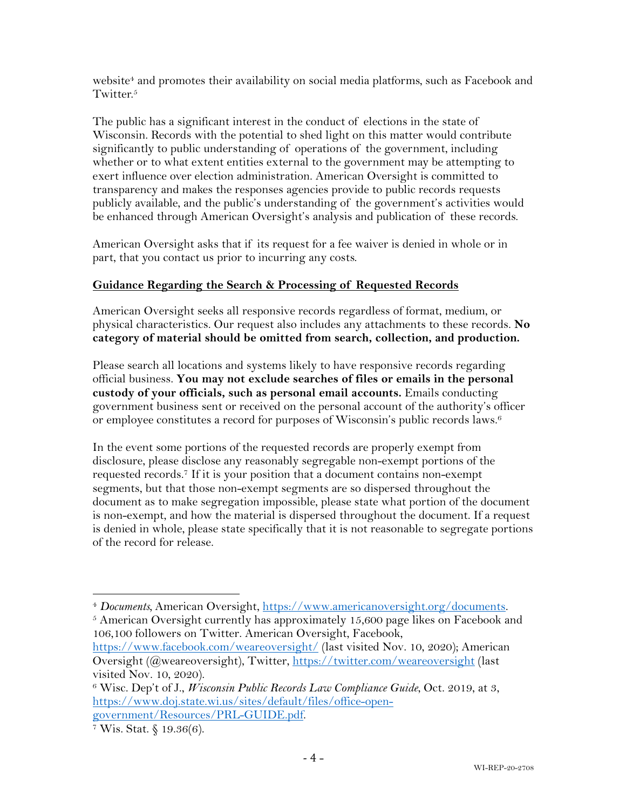website<sup>4</sup> and promotes their availability on social media platforms, such as Facebook and Twitter.<sup>5</sup>

The public has a significant interest in the conduct of elections in the state of Wisconsin. Records with the potential to shed light on this matter would contribute significantly to public understanding of operations of the government, including whether or to what extent entities external to the government may be attempting to exert influence over election administration. American Oversight is committed to transparency and makes the responses agencies provide to public records requests publicly available, and the public's understanding of the government's activities would be enhanced through American Oversight's analysis and publication of these records.

American Oversight asks that if its request for a fee waiver is denied in whole or in part, that you contact us prior to incurring any costs.

# **Guidance Regarding the Search & Processing of Requested Records**

American Oversight seeks all responsive records regardless of format, medium, or physical characteristics. Our request also includes any attachments to these records. **No category of material should be omitted from search, collection, and production.**

Please search all locations and systems likely to have responsive records regarding official business. **You may not exclude searches of files or emails in the personal custody of your officials, such as personal email accounts.** Emails conducting government business sent or received on the personal account of the authority's officer or employee constitutes a record for purposes of Wisconsin's public records laws.6

In the event some portions of the requested records are properly exempt from disclosure, please disclose any reasonably segregable non-exempt portions of the requested records.7 If it is your position that a document contains non-exempt segments, but that those non-exempt segments are so dispersed throughout the document as to make segregation impossible, please state what portion of the document is non-exempt, and how the material is dispersed throughout the document. If a request is denied in whole, please state specifically that it is not reasonable to segregate portions of the record for release.

<sup>4</sup> *Documents,* American Oversight, https://www.americanoversight.org/documents.

 $5$  American Oversight currently has approximately 15,600 page likes on Facebook and 106,100 followers on Twitter. American Oversight, Facebook,

https://www.facebook.com/weareoversight/ (last visited Nov. 10, 2020); American Oversight (@weareoversight), Twitter, https://twitter.com/weareoversight (last visited Nov. 10, 2020).

<sup>6</sup> Wisc. Dep't of J., *Wisconsin Public Records Law Compliance Guide*, Oct. 2019, at 3, https://www.doj.state.wi.us/sites/default/files/office-opengovernment/Resources/PRL-GUIDE.pdf.<br>7 Wis. Stat. § 19.36(6).